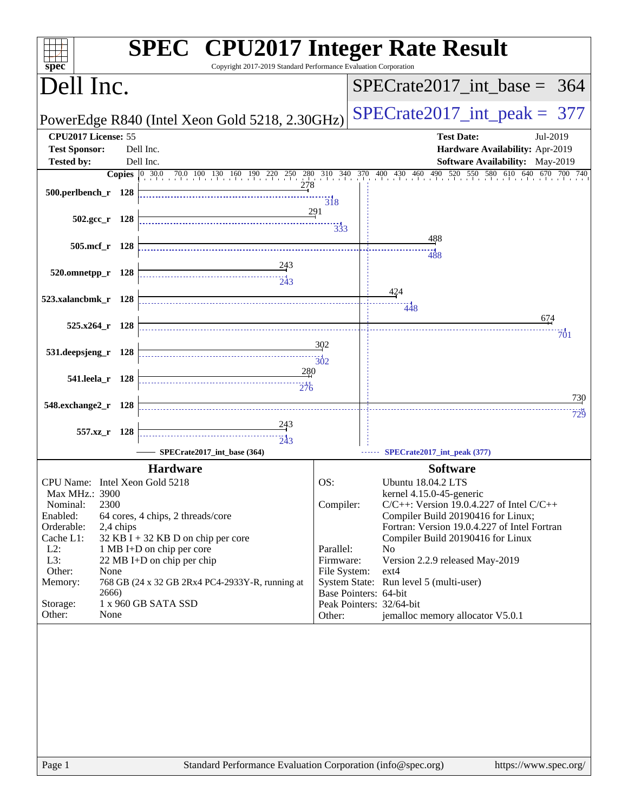| $s\overline{p}\overline{e}\overline{c}$ | <b>SPEC<sup>®</sup></b> CPU2017 Integer Rate Result<br>Copyright 2017-2019 Standard Performance Evaluation Corporation |                       |                                                                                                                   |
|-----------------------------------------|------------------------------------------------------------------------------------------------------------------------|-----------------------|-------------------------------------------------------------------------------------------------------------------|
| Dell Inc.                               |                                                                                                                        |                       | $SPECTate2017\_int\_base = 364$                                                                                   |
|                                         | PowerEdge R840 (Intel Xeon Gold 5218, 2.30GHz)                                                                         |                       | $SPECrate2017\_int\_peak = 377$                                                                                   |
| CPU2017 License: 55                     |                                                                                                                        |                       | <b>Test Date:</b><br>Jul-2019                                                                                     |
| <b>Test Sponsor:</b>                    | Dell Inc.                                                                                                              |                       | Hardware Availability: Apr-2019                                                                                   |
| <b>Tested by:</b>                       | Dell Inc.                                                                                                              |                       | Software Availability: May-2019                                                                                   |
|                                         |                                                                                                                        |                       | <b>Copies</b> 0 30.0 70.0 100 130 160 190 220 250 280 310 340 370 400 430 460 490 520 550 580 610 640 670 700 740 |
| 500.perlbench_r 128                     | 278                                                                                                                    |                       |                                                                                                                   |
|                                         |                                                                                                                        | $\overline{318}$      |                                                                                                                   |
| $502.\text{gcc r}$ 128                  |                                                                                                                        | 291                   |                                                                                                                   |
|                                         |                                                                                                                        | 333                   |                                                                                                                   |
| 505.mcf_r 128                           |                                                                                                                        |                       | 488                                                                                                               |
|                                         |                                                                                                                        |                       | 488                                                                                                               |
| 520.omnetpp_r 128                       | $\frac{243}{2}$                                                                                                        |                       |                                                                                                                   |
|                                         | $\frac{1}{243}$                                                                                                        |                       |                                                                                                                   |
| 523.xalancbmk_r 128                     |                                                                                                                        |                       | 424                                                                                                               |
|                                         |                                                                                                                        |                       | 448                                                                                                               |
| 525.x264_r 128                          |                                                                                                                        |                       | 674                                                                                                               |
|                                         |                                                                                                                        |                       | 701                                                                                                               |
| 531.deepsjeng_r 128                     |                                                                                                                        | 302                   |                                                                                                                   |
|                                         |                                                                                                                        | $\frac{1}{302}$       |                                                                                                                   |
| 541.leela_r 128                         | 280                                                                                                                    |                       |                                                                                                                   |
|                                         | 276                                                                                                                    |                       |                                                                                                                   |
| 548.exchange2_r 128                     |                                                                                                                        |                       | 730                                                                                                               |
|                                         |                                                                                                                        |                       | 729                                                                                                               |
| 557.xz_r 128                            | $\frac{243}{5}$                                                                                                        |                       |                                                                                                                   |
|                                         | 243                                                                                                                    |                       |                                                                                                                   |
|                                         | SPECrate2017_int_base (364)                                                                                            |                       | SPECrate2017_int_peak (377)                                                                                       |
|                                         | <b>Hardware</b>                                                                                                        |                       | <b>Software</b>                                                                                                   |
| CPU Name: Intel Xeon Gold 5218          |                                                                                                                        | OS:                   | <b>Ubuntu 18.04.2 LTS</b>                                                                                         |
| Max MHz.: 3900                          |                                                                                                                        |                       | kernel 4.15.0-45-generic                                                                                          |
| 2300<br>Nominal:                        |                                                                                                                        | Compiler:             | $C/C++$ : Version 19.0.4.227 of Intel $C/C++$                                                                     |
| Enabled:<br>Orderable:<br>2,4 chips     | 64 cores, 4 chips, 2 threads/core                                                                                      |                       | Compiler Build 20190416 for Linux;<br>Fortran: Version 19.0.4.227 of Intel Fortran                                |
| Cache L1:                               | $32$ KB I + 32 KB D on chip per core                                                                                   |                       | Compiler Build 20190416 for Linux                                                                                 |
| $L2$ :                                  | 1 MB I+D on chip per core                                                                                              | Parallel:             | N <sub>0</sub>                                                                                                    |
| L3:                                     | 22 MB I+D on chip per chip                                                                                             | Firmware:             | Version 2.2.9 released May-2019                                                                                   |
| Other:<br>None                          |                                                                                                                        | File System:          | $ext{4}$                                                                                                          |
| Memory:                                 | 768 GB (24 x 32 GB 2Rx4 PC4-2933Y-R, running at                                                                        |                       | System State: Run level 5 (multi-user)                                                                            |
| 2666)<br>Storage:                       | 1 x 960 GB SATA SSD                                                                                                    | Base Pointers: 64-bit | Peak Pointers: 32/64-bit                                                                                          |
| Other:<br>None                          |                                                                                                                        | Other:                | jemalloc memory allocator V5.0.1                                                                                  |
|                                         |                                                                                                                        |                       |                                                                                                                   |
|                                         |                                                                                                                        |                       |                                                                                                                   |
|                                         |                                                                                                                        |                       |                                                                                                                   |
|                                         |                                                                                                                        |                       |                                                                                                                   |
|                                         |                                                                                                                        |                       |                                                                                                                   |
|                                         |                                                                                                                        |                       |                                                                                                                   |
|                                         |                                                                                                                        |                       |                                                                                                                   |
|                                         |                                                                                                                        |                       |                                                                                                                   |
|                                         |                                                                                                                        |                       |                                                                                                                   |
|                                         |                                                                                                                        |                       |                                                                                                                   |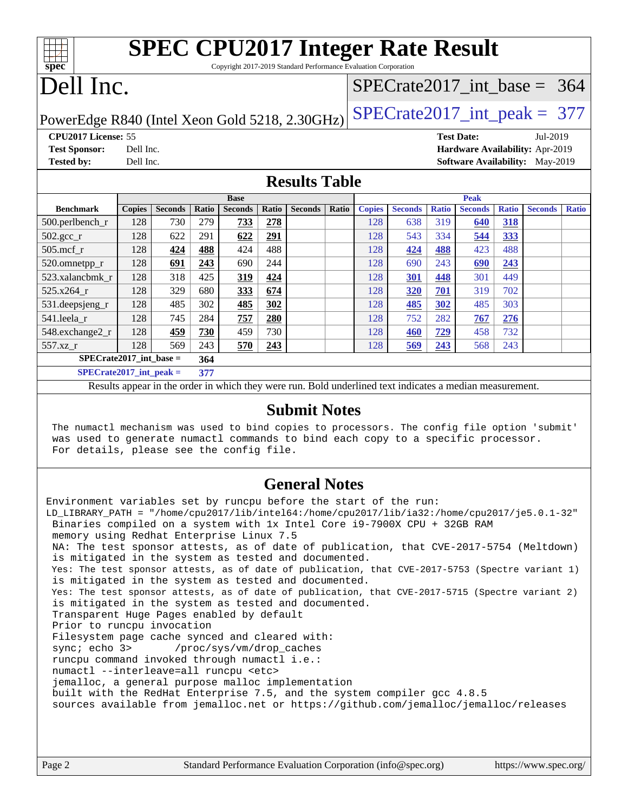| <b>SPEC CPU2017 Integer Rate Result</b><br>$spec^*$<br>Copyright 2017-2019 Standard Performance Evaluation Corporation |                                              |                |              |                |       |                |       |               |                                 |              |                                        |              |                |              |  |
|------------------------------------------------------------------------------------------------------------------------|----------------------------------------------|----------------|--------------|----------------|-------|----------------|-------|---------------|---------------------------------|--------------|----------------------------------------|--------------|----------------|--------------|--|
| Dell Inc.                                                                                                              |                                              |                |              |                |       |                |       |               | $SPECTate2017\_int\_base = 364$ |              |                                        |              |                |              |  |
| $SPECrate2017\_int\_peak = 377$<br>PowerEdge R840 (Intel Xeon Gold 5218, 2.30GHz)                                      |                                              |                |              |                |       |                |       |               |                                 |              |                                        |              |                |              |  |
| CPU2017 License: 55<br><b>Test Date:</b><br>Jul-2019                                                                   |                                              |                |              |                |       |                |       |               |                                 |              |                                        |              |                |              |  |
| <b>Test Sponsor:</b>                                                                                                   | Dell Inc.<br>Hardware Availability: Apr-2019 |                |              |                |       |                |       |               |                                 |              |                                        |              |                |              |  |
| <b>Tested by:</b>                                                                                                      | Dell Inc.                                    |                |              |                |       |                |       |               |                                 |              | <b>Software Availability:</b> May-2019 |              |                |              |  |
| <b>Results Table</b>                                                                                                   |                                              |                |              |                |       |                |       |               |                                 |              |                                        |              |                |              |  |
|                                                                                                                        |                                              |                |              | <b>Base</b>    |       |                |       | Peak          |                                 |              |                                        |              |                |              |  |
| <b>Benchmark</b>                                                                                                       | <b>Copies</b>                                | <b>Seconds</b> | <b>Ratio</b> | <b>Seconds</b> | Ratio | <b>Seconds</b> | Ratio | <b>Copies</b> | <b>Seconds</b>                  | <b>Ratio</b> | <b>Seconds</b>                         | <b>Ratio</b> | <b>Seconds</b> | <b>Ratio</b> |  |
| $500.$ perlbench_r                                                                                                     | 128                                          | 730            | 279          | 733            | 278   |                |       | 128           | 638                             | 319          | 640                                    | <b>318</b>   |                |              |  |
| $502.\text{sec}$                                                                                                       | 128                                          | 622            | 291          | 622            | 291   |                |       | 128           | 543                             | 334          | 544                                    | 333          |                |              |  |
| $505$ .mcf r                                                                                                           | 128                                          | 424            | 488          | 424            | 488   |                |       | 128           | 424                             | 488          | 423                                    | 488          |                |              |  |
| 520.omnetpp_r                                                                                                          | 128                                          | 691            | 243          | 690            | 244   |                |       | 128           | 690                             | 243          | 690                                    | 243          |                |              |  |
| 523.xalancbmk r                                                                                                        | 128                                          | 318            | 425          | 319            | 424   |                |       | 128           | <b>301</b>                      | 448          | 301                                    | 449          |                |              |  |
| $525.x264$ r                                                                                                           | 128                                          | 329            | 680          | 333            | 674   |                |       | 128           | 320                             | 701          | 319                                    | 702          |                |              |  |

### **[Submit Notes](http://www.spec.org/auto/cpu2017/Docs/result-fields.html#SubmitNotes)**

Results appear in the [order in which they were run](http://www.spec.org/auto/cpu2017/Docs/result-fields.html#RunOrder). Bold underlined text [indicates a median measurement](http://www.spec.org/auto/cpu2017/Docs/result-fields.html#Median).

[531.deepsjeng\\_r](http://www.spec.org/auto/cpu2017/Docs/benchmarks/531.deepsjeng_r.html) 128 485 302 **[485](http://www.spec.org/auto/cpu2017/Docs/result-fields.html#Median) [302](http://www.spec.org/auto/cpu2017/Docs/result-fields.html#Median)** 128 **[485](http://www.spec.org/auto/cpu2017/Docs/result-fields.html#Median) [302](http://www.spec.org/auto/cpu2017/Docs/result-fields.html#Median)** 485 303 [541.leela\\_r](http://www.spec.org/auto/cpu2017/Docs/benchmarks/541.leela_r.html) 128 745 284 **[757](http://www.spec.org/auto/cpu2017/Docs/result-fields.html#Median) [280](http://www.spec.org/auto/cpu2017/Docs/result-fields.html#Median)** 128 752 282 **[767](http://www.spec.org/auto/cpu2017/Docs/result-fields.html#Median) [276](http://www.spec.org/auto/cpu2017/Docs/result-fields.html#Median)** [548.exchange2\\_r](http://www.spec.org/auto/cpu2017/Docs/benchmarks/548.exchange2_r.html) 128 **[459](http://www.spec.org/auto/cpu2017/Docs/result-fields.html#Median) [730](http://www.spec.org/auto/cpu2017/Docs/result-fields.html#Median)** 459 730 128 **[460](http://www.spec.org/auto/cpu2017/Docs/result-fields.html#Median) [729](http://www.spec.org/auto/cpu2017/Docs/result-fields.html#Median)** 458 732 [557.xz\\_r](http://www.spec.org/auto/cpu2017/Docs/benchmarks/557.xz_r.html) 128 569 243 **[570](http://www.spec.org/auto/cpu2017/Docs/result-fields.html#Median) [243](http://www.spec.org/auto/cpu2017/Docs/result-fields.html#Median)** 128 **[569](http://www.spec.org/auto/cpu2017/Docs/result-fields.html#Median) [243](http://www.spec.org/auto/cpu2017/Docs/result-fields.html#Median)** 568 243

**[SPECrate2017\\_int\\_base =](http://www.spec.org/auto/cpu2017/Docs/result-fields.html#SPECrate2017intbase) 364 [SPECrate2017\\_int\\_peak =](http://www.spec.org/auto/cpu2017/Docs/result-fields.html#SPECrate2017intpeak) 377**

 The numactl mechanism was used to bind copies to processors. The config file option 'submit' was used to generate numactl commands to bind each copy to a specific processor. For details, please see the config file.

### **[General Notes](http://www.spec.org/auto/cpu2017/Docs/result-fields.html#GeneralNotes)**

Environment variables set by runcpu before the start of the run: LD\_LIBRARY\_PATH = "/home/cpu2017/lib/intel64:/home/cpu2017/lib/ia32:/home/cpu2017/je5.0.1-32" Binaries compiled on a system with 1x Intel Core i9-7900X CPU + 32GB RAM memory using Redhat Enterprise Linux 7.5 NA: The test sponsor attests, as of date of publication, that CVE-2017-5754 (Meltdown) is mitigated in the system as tested and documented. Yes: The test sponsor attests, as of date of publication, that CVE-2017-5753 (Spectre variant 1) is mitigated in the system as tested and documented. Yes: The test sponsor attests, as of date of publication, that CVE-2017-5715 (Spectre variant 2) is mitigated in the system as tested and documented. Transparent Huge Pages enabled by default Prior to runcpu invocation Filesystem page cache synced and cleared with: sync; echo 3> /proc/sys/vm/drop\_caches runcpu command invoked through numactl i.e.: numactl --interleave=all runcpu <etc> jemalloc, a general purpose malloc implementation built with the RedHat Enterprise 7.5, and the system compiler gcc 4.8.5 sources available from jemalloc.net or <https://github.com/jemalloc/jemalloc/releases>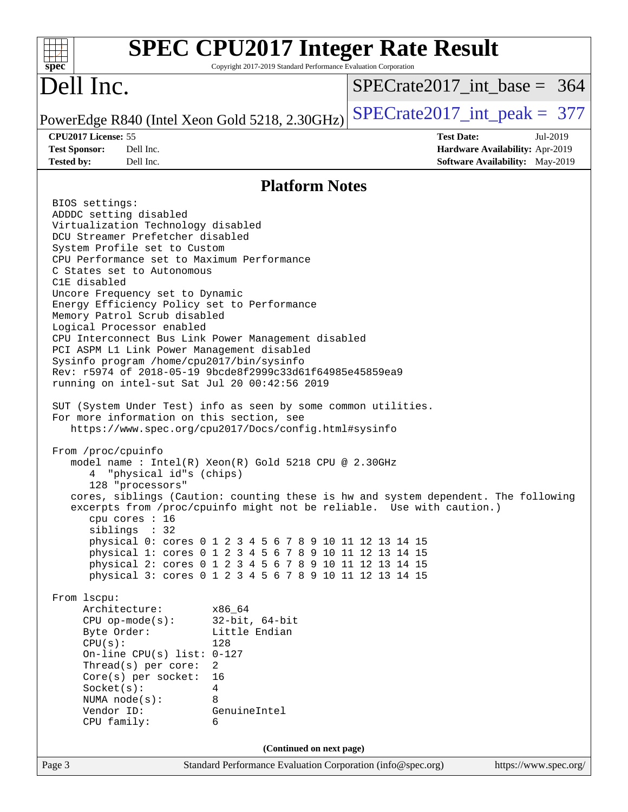| $spec^*$                                                                                                                                                                                                                                                                                                                                                                                                                                                                                                                                                                                                                                                                                                                                                                     | Copyright 2017-2019 Standard Performance Evaluation Corporation                                                                                                                                                                                                                                   | <b>SPEC CPU2017 Integer Rate Result</b>                                                                                                                     |
|------------------------------------------------------------------------------------------------------------------------------------------------------------------------------------------------------------------------------------------------------------------------------------------------------------------------------------------------------------------------------------------------------------------------------------------------------------------------------------------------------------------------------------------------------------------------------------------------------------------------------------------------------------------------------------------------------------------------------------------------------------------------------|---------------------------------------------------------------------------------------------------------------------------------------------------------------------------------------------------------------------------------------------------------------------------------------------------|-------------------------------------------------------------------------------------------------------------------------------------------------------------|
| Dell Inc.                                                                                                                                                                                                                                                                                                                                                                                                                                                                                                                                                                                                                                                                                                                                                                    |                                                                                                                                                                                                                                                                                                   | $SPECrate2017\_int\_base = 364$                                                                                                                             |
| PowerEdge R840 (Intel Xeon Gold 5218, 2.30GHz)                                                                                                                                                                                                                                                                                                                                                                                                                                                                                                                                                                                                                                                                                                                               |                                                                                                                                                                                                                                                                                                   | $SPECrate2017\_int\_peak = 377$                                                                                                                             |
| CPU2017 License: 55<br><b>Test Sponsor:</b><br>Dell Inc.<br>Tested by:<br>Dell Inc.                                                                                                                                                                                                                                                                                                                                                                                                                                                                                                                                                                                                                                                                                          |                                                                                                                                                                                                                                                                                                   | <b>Test Date:</b><br>Jul-2019<br>Hardware Availability: Apr-2019<br>Software Availability: May-2019                                                         |
|                                                                                                                                                                                                                                                                                                                                                                                                                                                                                                                                                                                                                                                                                                                                                                              |                                                                                                                                                                                                                                                                                                   |                                                                                                                                                             |
|                                                                                                                                                                                                                                                                                                                                                                                                                                                                                                                                                                                                                                                                                                                                                                              | <b>Platform Notes</b>                                                                                                                                                                                                                                                                             |                                                                                                                                                             |
| BIOS settings:<br>ADDDC setting disabled<br>Virtualization Technology disabled<br>DCU Streamer Prefetcher disabled<br>System Profile set to Custom<br>CPU Performance set to Maximum Performance<br>C States set to Autonomous<br>C1E disabled<br>Uncore Frequency set to Dynamic<br>Energy Efficiency Policy set to Performance<br>Memory Patrol Scrub disabled<br>Logical Processor enabled<br>CPU Interconnect Bus Link Power Management disabled<br>PCI ASPM L1 Link Power Management disabled<br>Sysinfo program /home/cpu2017/bin/sysinfo<br>Rev: r5974 of 2018-05-19 9bcde8f2999c33d61f64985e45859ea9<br>running on intel-sut Sat Jul 20 00:42:56 2019<br>SUT (System Under Test) info as seen by some common utilities.<br>For more information on this section, see | https://www.spec.org/cpu2017/Docs/config.html#sysinfo                                                                                                                                                                                                                                             |                                                                                                                                                             |
| From /proc/cpuinfo<br>"physical id"s (chips)<br>128 "processors"<br>cpu cores : 16<br>siblings : 32<br>From lscpu:                                                                                                                                                                                                                                                                                                                                                                                                                                                                                                                                                                                                                                                           | model name : Intel(R) Xeon(R) Gold 5218 CPU @ 2.30GHz<br>physical 0: cores 0 1 2 3 4 5 6 7 8 9 10 11 12 13 14 15<br>physical 1: cores 0 1 2 3 4 5 6 7 8 9 10 11 12 13 14 15<br>physical 2: cores 0 1 2 3 4 5 6 7 8 9 10 11 12 13 14 15<br>physical 3: cores 0 1 2 3 4 5 6 7 8 9 10 11 12 13 14 15 | cores, siblings (Caution: counting these is hw and system dependent. The following<br>excerpts from /proc/cpuinfo might not be reliable. Use with caution.) |
| Architecture:<br>$CPU op-mode(s):$<br>Byte Order:<br>CPU(s):<br>On-line CPU(s) list: $0-127$<br>Thread(s) per core:<br>Core(s) per socket:<br>Socket(s):<br>NUMA node(s):<br>Vendor ID:<br>CPU family:                                                                                                                                                                                                                                                                                                                                                                                                                                                                                                                                                                       | x86 64<br>$32$ -bit, $64$ -bit<br>Little Endian<br>128<br>2<br>16<br>4<br>8<br>GenuineIntel<br>6                                                                                                                                                                                                  |                                                                                                                                                             |
| Page 3                                                                                                                                                                                                                                                                                                                                                                                                                                                                                                                                                                                                                                                                                                                                                                       | (Continued on next page)<br>Standard Performance Evaluation Corporation (info@spec.org)                                                                                                                                                                                                           | https://www.spec.org/                                                                                                                                       |
|                                                                                                                                                                                                                                                                                                                                                                                                                                                                                                                                                                                                                                                                                                                                                                              |                                                                                                                                                                                                                                                                                                   |                                                                                                                                                             |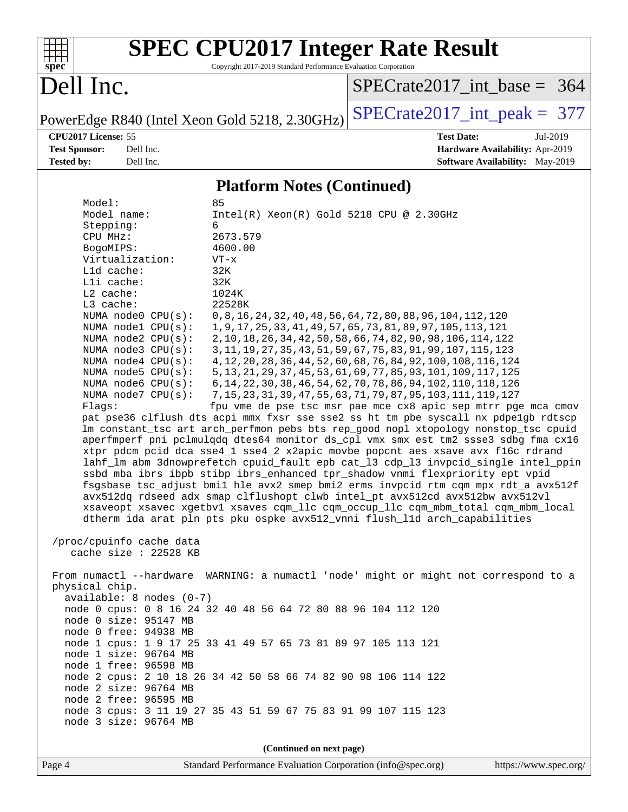

# **[SPEC CPU2017 Integer Rate Result](http://www.spec.org/auto/cpu2017/Docs/result-fields.html#SPECCPU2017IntegerRateResult)**

Copyright 2017-2019 Standard Performance Evaluation Corporation

## Dell Inc.

[SPECrate2017\\_int\\_base =](http://www.spec.org/auto/cpu2017/Docs/result-fields.html#SPECrate2017intbase) 364

PowerEdge R840 (Intel Xeon Gold 5218, 2.30GHz)  $\text{SPECrate2017\_int\_peak} = 377$ 

**[CPU2017 License:](http://www.spec.org/auto/cpu2017/Docs/result-fields.html#CPU2017License)** 55 **[Test Date:](http://www.spec.org/auto/cpu2017/Docs/result-fields.html#TestDate)** Jul-2019 **[Test Sponsor:](http://www.spec.org/auto/cpu2017/Docs/result-fields.html#TestSponsor)** Dell Inc. **[Hardware Availability:](http://www.spec.org/auto/cpu2017/Docs/result-fields.html#HardwareAvailability)** Apr-2019 **[Tested by:](http://www.spec.org/auto/cpu2017/Docs/result-fields.html#Testedby)** Dell Inc. Dell Inc. **[Software Availability:](http://www.spec.org/auto/cpu2017/Docs/result-fields.html#SoftwareAvailability)** May-2019

### **[Platform Notes \(Continued\)](http://www.spec.org/auto/cpu2017/Docs/result-fields.html#PlatformNotes)**

| Model:                                         | 85                                                                                                                                     |  |  |  |  |  |  |
|------------------------------------------------|----------------------------------------------------------------------------------------------------------------------------------------|--|--|--|--|--|--|
| Model name:                                    | $Intel(R) Xeon(R) Gold 5218 CPU @ 2.30GHz$                                                                                             |  |  |  |  |  |  |
| Stepping:                                      | 6                                                                                                                                      |  |  |  |  |  |  |
| CPU MHz:                                       | 2673.579                                                                                                                               |  |  |  |  |  |  |
| BogoMIPS:                                      | 4600.00                                                                                                                                |  |  |  |  |  |  |
| Virtualization:                                | $VT - x$                                                                                                                               |  |  |  |  |  |  |
| Lld cache:                                     | 32K                                                                                                                                    |  |  |  |  |  |  |
| Lli cache:                                     | 32K                                                                                                                                    |  |  |  |  |  |  |
| L2 cache:                                      | 1024K                                                                                                                                  |  |  |  |  |  |  |
| L3 cache:                                      | 22528K                                                                                                                                 |  |  |  |  |  |  |
| NUMA node0 CPU(s):                             | 0, 8, 16, 24, 32, 40, 48, 56, 64, 72, 80, 88, 96, 104, 112, 120                                                                        |  |  |  |  |  |  |
| NUMA nodel CPU(s):                             | 1, 9, 17, 25, 33, 41, 49, 57, 65, 73, 81, 89, 97, 105, 113, 121                                                                        |  |  |  |  |  |  |
| NUMA node2 CPU(s):                             | 2, 10, 18, 26, 34, 42, 50, 58, 66, 74, 82, 90, 98, 106, 114, 122                                                                       |  |  |  |  |  |  |
| NUMA $node3$ CPU $(s)$ :                       | 3, 11, 19, 27, 35, 43, 51, 59, 67, 75, 83, 91, 99, 107, 115, 123                                                                       |  |  |  |  |  |  |
| NUMA node4 CPU(s):                             | 4, 12, 20, 28, 36, 44, 52, 60, 68, 76, 84, 92, 100, 108, 116, 124                                                                      |  |  |  |  |  |  |
| NUMA node5 $CPU(s):$<br>NUMA node6 $CPU(s):$   | 5, 13, 21, 29, 37, 45, 53, 61, 69, 77, 85, 93, 101, 109, 117, 125                                                                      |  |  |  |  |  |  |
| NUMA node7 CPU(s):                             | 6, 14, 22, 30, 38, 46, 54, 62, 70, 78, 86, 94, 102, 110, 118, 126<br>7, 15, 23, 31, 39, 47, 55, 63, 71, 79, 87, 95, 103, 111, 119, 127 |  |  |  |  |  |  |
| Flags:                                         | fpu vme de pse tsc msr pae mce cx8 apic sep mtrr pge mca cmov                                                                          |  |  |  |  |  |  |
|                                                | pat pse36 clflush dts acpi mmx fxsr sse sse2 ss ht tm pbe syscall nx pdpelgb rdtscp                                                    |  |  |  |  |  |  |
|                                                | lm constant_tsc art arch_perfmon pebs bts rep_good nopl xtopology nonstop_tsc cpuid                                                    |  |  |  |  |  |  |
|                                                | aperfmperf pni pclmulqdq dtes64 monitor ds_cpl vmx smx est tm2 ssse3 sdbg fma cx16                                                     |  |  |  |  |  |  |
|                                                | xtpr pdcm pcid dca sse4_1 sse4_2 x2apic movbe popcnt aes xsave avx f16c rdrand                                                         |  |  |  |  |  |  |
|                                                | lahf_lm abm 3dnowprefetch cpuid_fault epb cat_13 cdp_13 invpcid_single intel_ppin                                                      |  |  |  |  |  |  |
|                                                | ssbd mba ibrs ibpb stibp ibrs_enhanced tpr_shadow vnmi flexpriority ept vpid                                                           |  |  |  |  |  |  |
|                                                | fsgsbase tsc_adjust bmil hle avx2 smep bmi2 erms invpcid rtm cqm mpx rdt_a avx512f                                                     |  |  |  |  |  |  |
|                                                | avx512dq rdseed adx smap clflushopt clwb intel_pt avx512cd avx512bw avx512vl                                                           |  |  |  |  |  |  |
|                                                | xsaveopt xsavec xgetbvl xsaves cqm_llc cqm_occup_llc cqm_mbm_total cqm_mbm_local                                                       |  |  |  |  |  |  |
|                                                | dtherm ida arat pln pts pku ospke avx512_vnni flush_lld arch_capabilities                                                              |  |  |  |  |  |  |
|                                                |                                                                                                                                        |  |  |  |  |  |  |
| /proc/cpuinfo cache data                       |                                                                                                                                        |  |  |  |  |  |  |
| cache size : 22528 KB                          |                                                                                                                                        |  |  |  |  |  |  |
|                                                |                                                                                                                                        |  |  |  |  |  |  |
|                                                | From numactl --hardware WARNING: a numactl 'node' might or might not correspond to a                                                   |  |  |  |  |  |  |
| physical chip.                                 |                                                                                                                                        |  |  |  |  |  |  |
| $available: 8 nodes (0-7)$                     |                                                                                                                                        |  |  |  |  |  |  |
|                                                | node 0 cpus: 0 8 16 24 32 40 48 56 64 72 80 88 96 104 112 120                                                                          |  |  |  |  |  |  |
| node 0 size: 95147 MB<br>node 0 free: 94938 MB |                                                                                                                                        |  |  |  |  |  |  |
|                                                | node 1 cpus: 1 9 17 25 33 41 49 57 65 73 81 89 97 105 113 121                                                                          |  |  |  |  |  |  |
| node 1 size: 96764 MB                          |                                                                                                                                        |  |  |  |  |  |  |
| node 1 free: 96598 MB                          |                                                                                                                                        |  |  |  |  |  |  |
|                                                | node 2 cpus: 2 10 18 26 34 42 50 58 66 74 82 90 98 106 114 122                                                                         |  |  |  |  |  |  |
| node 2 size: 96764 MB                          |                                                                                                                                        |  |  |  |  |  |  |
| node 2 free: 96595 MB                          |                                                                                                                                        |  |  |  |  |  |  |
|                                                | node 3 cpus: 3 11 19 27 35 43 51 59 67 75 83 91 99 107 115 123                                                                         |  |  |  |  |  |  |
| node 3 size: 96764 MB                          |                                                                                                                                        |  |  |  |  |  |  |
|                                                |                                                                                                                                        |  |  |  |  |  |  |
| (Continued on next page)                       |                                                                                                                                        |  |  |  |  |  |  |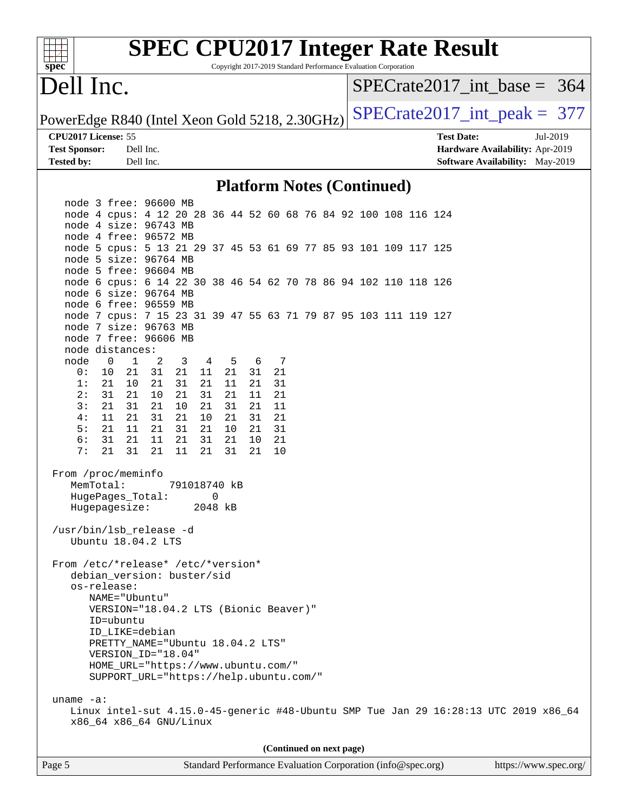| spec                                           |                                                                                          |           |          |                                                             |          |          |          |                          |  | Copyright 2017-2019 Standard Performance Evaluation Corporation |  | <b>SPEC CPU2017 Integer Rate Result</b> |                                 |  |                                 |
|------------------------------------------------|------------------------------------------------------------------------------------------|-----------|----------|-------------------------------------------------------------|----------|----------|----------|--------------------------|--|-----------------------------------------------------------------|--|-----------------------------------------|---------------------------------|--|---------------------------------|
| Dell Inc.                                      |                                                                                          |           |          |                                                             |          |          |          |                          |  |                                                                 |  |                                         |                                 |  | $SPECrate2017\_int\_base = 364$ |
| PowerEdge R840 (Intel Xeon Gold 5218, 2.30GHz) |                                                                                          |           |          |                                                             |          |          |          |                          |  |                                                                 |  |                                         |                                 |  | $SPECrate2017\_int\_peak = 377$ |
|                                                | CPU2017 License: 55                                                                      |           |          |                                                             |          |          |          |                          |  |                                                                 |  | <b>Test Date:</b>                       |                                 |  | Jul-2019                        |
| <b>Test Sponsor:</b>                           |                                                                                          | Dell Inc. |          |                                                             |          |          |          |                          |  |                                                                 |  |                                         | Hardware Availability: Apr-2019 |  |                                 |
| <b>Tested by:</b>                              |                                                                                          | Dell Inc. |          |                                                             |          |          |          |                          |  |                                                                 |  |                                         |                                 |  | Software Availability: May-2019 |
|                                                |                                                                                          |           |          |                                                             |          |          |          |                          |  | <b>Platform Notes (Continued)</b>                               |  |                                         |                                 |  |                                 |
|                                                | node 3 free: 96600 MB                                                                    |           |          |                                                             |          |          |          |                          |  |                                                                 |  |                                         |                                 |  |                                 |
|                                                | node 4 cpus: 4 12 20 28 36 44 52 60 68 76 84 92 100 108 116 124                          |           |          |                                                             |          |          |          |                          |  |                                                                 |  |                                         |                                 |  |                                 |
|                                                | node 4 size: 96743 MB                                                                    |           |          |                                                             |          |          |          |                          |  |                                                                 |  |                                         |                                 |  |                                 |
|                                                | node 4 free: 96572 MB                                                                    |           |          |                                                             |          |          |          |                          |  |                                                                 |  |                                         |                                 |  |                                 |
|                                                | node 5 cpus: 5 13 21 29 37 45 53 61 69 77 85 93 101 109 117 125<br>node 5 size: 96764 MB |           |          |                                                             |          |          |          |                          |  |                                                                 |  |                                         |                                 |  |                                 |
|                                                | node 5 free: 96604 MB                                                                    |           |          |                                                             |          |          |          |                          |  |                                                                 |  |                                         |                                 |  |                                 |
|                                                | node 6 cpus: 6 14 22 30 38 46 54 62 70 78 86 94 102 110 118 126                          |           |          |                                                             |          |          |          |                          |  |                                                                 |  |                                         |                                 |  |                                 |
|                                                | node 6 size: 96764 MB                                                                    |           |          |                                                             |          |          |          |                          |  |                                                                 |  |                                         |                                 |  |                                 |
|                                                | node 6 free: 96559 MB                                                                    |           |          |                                                             |          |          |          |                          |  |                                                                 |  |                                         |                                 |  |                                 |
|                                                | node 7 cpus: 7 15 23 31 39 47 55 63 71 79 87 95 103 111 119 127                          |           |          |                                                             |          |          |          |                          |  |                                                                 |  |                                         |                                 |  |                                 |
|                                                | node 7 size: 96763 MB<br>node 7 free: 96606 MB                                           |           |          |                                                             |          |          |          |                          |  |                                                                 |  |                                         |                                 |  |                                 |
|                                                | node distances:                                                                          |           |          |                                                             |          |          |          |                          |  |                                                                 |  |                                         |                                 |  |                                 |
| node                                           | $\mathbf 0$<br>$\mathbf{1}$                                                              | 2         | 3        | 4                                                           | 5        | 6        |          | 7                        |  |                                                                 |  |                                         |                                 |  |                                 |
| 0 :                                            | 10<br>21                                                                                 | 31        | 21       | 11                                                          | 21       | 31       | 21       |                          |  |                                                                 |  |                                         |                                 |  |                                 |
| 1:                                             | 21<br>10                                                                                 | 21        | 31       | 21                                                          | 11       | 21       | 31       |                          |  |                                                                 |  |                                         |                                 |  |                                 |
| 2:                                             | 31<br>21                                                                                 | 10        | 21       | 31                                                          | 21       | 11       | 21       |                          |  |                                                                 |  |                                         |                                 |  |                                 |
| 3:<br>4:                                       | 21<br>31<br>11<br>21                                                                     | 21<br>31  | 10<br>21 | 21<br>10                                                    | 31<br>21 | 21<br>31 | 11<br>21 |                          |  |                                                                 |  |                                         |                                 |  |                                 |
| 5:                                             | 21<br>11                                                                                 | 21        | 31       | 21                                                          | 10       | 21       | 31       |                          |  |                                                                 |  |                                         |                                 |  |                                 |
| 6:                                             | 31<br>21                                                                                 | 11        | 21       | 31                                                          | 21       | 10       | 21       |                          |  |                                                                 |  |                                         |                                 |  |                                 |
| 7:                                             | 21<br>31                                                                                 | 21        | 11       | 21                                                          | 31       | 21       | 10       |                          |  |                                                                 |  |                                         |                                 |  |                                 |
|                                                | From /proc/meminfo                                                                       |           |          |                                                             |          |          |          |                          |  |                                                                 |  |                                         |                                 |  |                                 |
|                                                | MemTotal:<br>HugePages_Total:                                                            |           |          | 791018740 kB<br>0                                           |          |          |          |                          |  |                                                                 |  |                                         |                                 |  |                                 |
|                                                | Hugepagesize:                                                                            |           |          | 2048 kB                                                     |          |          |          |                          |  |                                                                 |  |                                         |                                 |  |                                 |
|                                                | /usr/bin/lsb_release -d<br>Ubuntu 18.04.2 LTS                                            |           |          |                                                             |          |          |          |                          |  |                                                                 |  |                                         |                                 |  |                                 |
|                                                | From /etc/*release* /etc/*version*                                                       |           |          |                                                             |          |          |          |                          |  |                                                                 |  |                                         |                                 |  |                                 |
|                                                | debian_version: buster/sid<br>os-release:                                                |           |          |                                                             |          |          |          |                          |  |                                                                 |  |                                         |                                 |  |                                 |
|                                                | NAME="Ubuntu"                                                                            |           |          |                                                             |          |          |          |                          |  |                                                                 |  |                                         |                                 |  |                                 |
|                                                | VERSION="18.04.2 LTS (Bionic Beaver)"                                                    |           |          |                                                             |          |          |          |                          |  |                                                                 |  |                                         |                                 |  |                                 |
|                                                | ID=ubuntu                                                                                |           |          |                                                             |          |          |          |                          |  |                                                                 |  |                                         |                                 |  |                                 |
|                                                | ID_LIKE=debian                                                                           |           |          |                                                             |          |          |          |                          |  |                                                                 |  |                                         |                                 |  |                                 |
|                                                | PRETTY_NAME="Ubuntu 18.04.2 LTS"                                                         |           |          |                                                             |          |          |          |                          |  |                                                                 |  |                                         |                                 |  |                                 |
|                                                | VERSION_ID="18.04"<br>HOME_URL="https://www.ubuntu.com/"                                 |           |          |                                                             |          |          |          |                          |  |                                                                 |  |                                         |                                 |  |                                 |
|                                                | SUPPORT_URL="https://help.ubuntu.com/"                                                   |           |          |                                                             |          |          |          |                          |  |                                                                 |  |                                         |                                 |  |                                 |
| uname $-a$ :                                   |                                                                                          |           |          |                                                             |          |          |          |                          |  |                                                                 |  |                                         |                                 |  |                                 |
|                                                | Linux intel-sut 4.15.0-45-generic #48-Ubuntu SMP Tue Jan 29 16:28:13 UTC 2019 x86_64     |           |          |                                                             |          |          |          |                          |  |                                                                 |  |                                         |                                 |  |                                 |
|                                                | x86_64 x86_64 GNU/Linux                                                                  |           |          |                                                             |          |          |          |                          |  |                                                                 |  |                                         |                                 |  |                                 |
|                                                |                                                                                          |           |          |                                                             |          |          |          | (Continued on next page) |  |                                                                 |  |                                         |                                 |  |                                 |
| Page 5                                         |                                                                                          |           |          | Standard Performance Evaluation Corporation (info@spec.org) |          |          |          |                          |  |                                                                 |  |                                         |                                 |  | https://www.spec.org/           |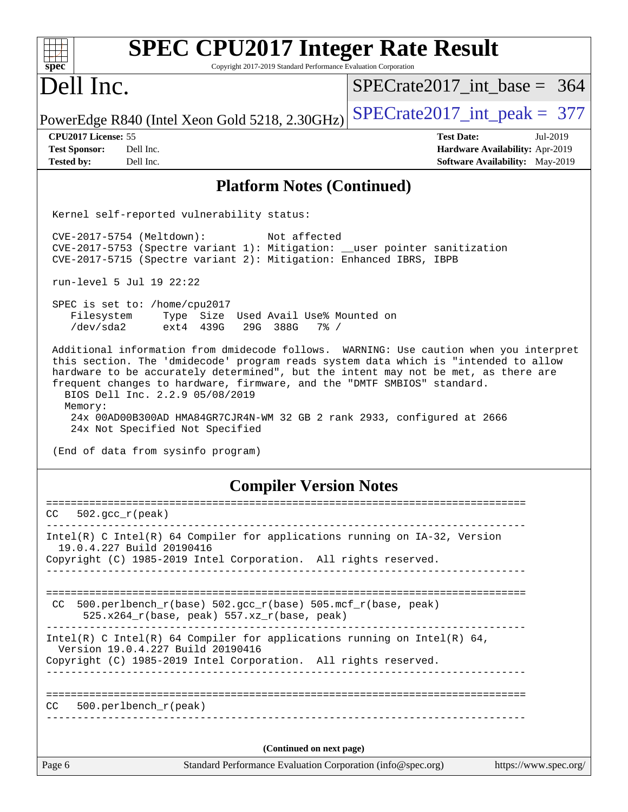| <b>SPEC CPU2017 Integer Rate Result</b>                                                                                                                                                                                                                                                                                                                                                                                                                                                                    |                                        |
|------------------------------------------------------------------------------------------------------------------------------------------------------------------------------------------------------------------------------------------------------------------------------------------------------------------------------------------------------------------------------------------------------------------------------------------------------------------------------------------------------------|----------------------------------------|
| Copyright 2017-2019 Standard Performance Evaluation Corporation<br>spec <sup>®</sup>                                                                                                                                                                                                                                                                                                                                                                                                                       |                                        |
| Dell Inc.                                                                                                                                                                                                                                                                                                                                                                                                                                                                                                  | $SPECrate2017$ int base = 364          |
| PowerEdge R840 (Intel Xeon Gold 5218, 2.30GHz)                                                                                                                                                                                                                                                                                                                                                                                                                                                             | $SPECrate2017\_int\_peak = 377$        |
| CPU2017 License: 55                                                                                                                                                                                                                                                                                                                                                                                                                                                                                        | <b>Test Date:</b><br>Jul-2019          |
| <b>Test Sponsor:</b><br>Dell Inc.                                                                                                                                                                                                                                                                                                                                                                                                                                                                          | Hardware Availability: Apr-2019        |
| <b>Tested by:</b><br>Dell Inc.                                                                                                                                                                                                                                                                                                                                                                                                                                                                             | <b>Software Availability:</b> May-2019 |
| <b>Platform Notes (Continued)</b>                                                                                                                                                                                                                                                                                                                                                                                                                                                                          |                                        |
| Kernel self-reported vulnerability status:                                                                                                                                                                                                                                                                                                                                                                                                                                                                 |                                        |
| CVE-2017-5754 (Meltdown):<br>Not affected<br>CVE-2017-5753 (Spectre variant 1): Mitigation: __user pointer sanitization<br>CVE-2017-5715 (Spectre variant 2): Mitigation: Enhanced IBRS, IBPB                                                                                                                                                                                                                                                                                                              |                                        |
| run-level 5 Jul 19 22:22                                                                                                                                                                                                                                                                                                                                                                                                                                                                                   |                                        |
| SPEC is set to: /home/cpu2017<br>Type Size Used Avail Use% Mounted on<br>Filesystem<br>/dev/sda2<br>ext4 439G<br>29G 388G<br>$7\%$ /                                                                                                                                                                                                                                                                                                                                                                       |                                        |
| Additional information from dmidecode follows. WARNING: Use caution when you interpret<br>this section. The 'dmidecode' program reads system data which is "intended to allow<br>hardware to be accurately determined", but the intent may not be met, as there are<br>frequent changes to hardware, firmware, and the "DMTF SMBIOS" standard.<br>BIOS Dell Inc. 2.2.9 05/08/2019<br>Memory:<br>24x 00AD00B300AD HMA84GR7CJR4N-WM 32 GB 2 rank 2933, configured at 2666<br>24x Not Specified Not Specified |                                        |
| (End of data from sysinfo program)                                                                                                                                                                                                                                                                                                                                                                                                                                                                         |                                        |
| <b>Compiler Version Notes</b>                                                                                                                                                                                                                                                                                                                                                                                                                                                                              |                                        |
| ===================================<br>CC.<br>$502. \text{gcc\_r}(\text{peak})$                                                                                                                                                                                                                                                                                                                                                                                                                            |                                        |
| Intel(R) C Intel(R) 64 Compiler for applications running on $IA-32$ , Version                                                                                                                                                                                                                                                                                                                                                                                                                              |                                        |
| 19.0.4.227 Build 20190416                                                                                                                                                                                                                                                                                                                                                                                                                                                                                  |                                        |
| Copyright (C) 1985-2019 Intel Corporation. All rights reserved.                                                                                                                                                                                                                                                                                                                                                                                                                                            |                                        |
|                                                                                                                                                                                                                                                                                                                                                                                                                                                                                                            |                                        |
| 500.perlbench_r(base) 502.gcc_r(base) 505.mcf_r(base, peak)<br>CC.<br>$525.x264_r(base, peak) 557.xz_r(base, peak)$                                                                                                                                                                                                                                                                                                                                                                                        |                                        |
| Intel(R) C Intel(R) 64 Compiler for applications running on Intel(R) 64,<br>Version 19.0.4.227 Build 20190416                                                                                                                                                                                                                                                                                                                                                                                              |                                        |
| Copyright (C) 1985-2019 Intel Corporation. All rights reserved.                                                                                                                                                                                                                                                                                                                                                                                                                                            |                                        |
|                                                                                                                                                                                                                                                                                                                                                                                                                                                                                                            |                                        |
| 500.perlbench_r(peak)<br>CC.                                                                                                                                                                                                                                                                                                                                                                                                                                                                               |                                        |
| (Continued on next page)                                                                                                                                                                                                                                                                                                                                                                                                                                                                                   |                                        |
| Standard Performance Evaluation Corporation (info@spec.org)<br>Page 6                                                                                                                                                                                                                                                                                                                                                                                                                                      | https://www.spec.org/                  |
|                                                                                                                                                                                                                                                                                                                                                                                                                                                                                                            |                                        |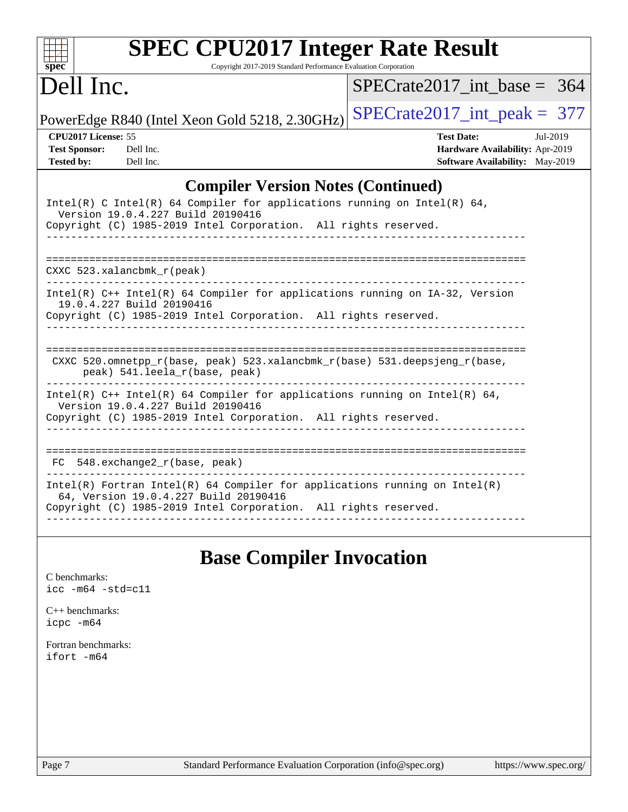| <b>SPEC CPU2017 Integer Rate Result</b><br>$\mathbf{Spec}^*$<br>Copyright 2017-2019 Standard Performance Evaluation Corporation                                                                                                                                  |                                                                                                            |
|------------------------------------------------------------------------------------------------------------------------------------------------------------------------------------------------------------------------------------------------------------------|------------------------------------------------------------------------------------------------------------|
| Dell Inc.                                                                                                                                                                                                                                                        | $SPECrate2017$ int base = 364                                                                              |
| PowerEdge R840 (Intel Xeon Gold 5218, 2.30GHz)                                                                                                                                                                                                                   | $SPECrate2017\_int\_peak = 377$                                                                            |
| CPU2017 License: 55<br><b>Test Sponsor:</b><br>Dell Inc.<br><b>Tested by:</b><br>Dell Inc.                                                                                                                                                                       | <b>Test Date:</b><br>Jul-2019<br>Hardware Availability: Apr-2019<br><b>Software Availability:</b> May-2019 |
| <b>Compiler Version Notes (Continued)</b><br>Intel(R) C Intel(R) 64 Compiler for applications running on Intel(R) 64,<br>Version 19.0.4.227 Build 20190416<br>Copyright (C) 1985-2019 Intel Corporation. All rights reserved.<br>$CXXC$ 523.xalancbmk $r$ (peak) |                                                                                                            |
| Intel(R) C++ Intel(R) 64 Compiler for applications running on IA-32, Version<br>19.0.4.227 Build 20190416<br>Copyright (C) 1985-2019 Intel Corporation. All rights reserved.                                                                                     |                                                                                                            |
| CXXC 520.omnetpp $r(base, peak)$ 523.xalancbmk $r(base)$ 531.deepsjeng $r(base)$ ,<br>peak) 541.leela_r(base, peak)                                                                                                                                              |                                                                                                            |
| $Intel(R)$ C++ Intel(R) 64 Compiler for applications running on Intel(R) 64,                                                                                                                                                                                     |                                                                                                            |

**[Base Compiler Invocation](http://www.spec.org/auto/cpu2017/Docs/result-fields.html#BaseCompilerInvocation)**

[C benchmarks](http://www.spec.org/auto/cpu2017/Docs/result-fields.html#Cbenchmarks): [icc -m64 -std=c11](http://www.spec.org/cpu2017/results/res2019q3/cpu2017-20190722-16251.flags.html#user_CCbase_intel_icc_64bit_c11_33ee0cdaae7deeeab2a9725423ba97205ce30f63b9926c2519791662299b76a0318f32ddfffdc46587804de3178b4f9328c46fa7c2b0cd779d7a61945c91cd35)

Version 19.0.4.227 Build 20190416

64, Version 19.0.4.227 Build 20190416

FC 548.exchange2\_r(base, peak)

Copyright (C) 1985-2019 Intel Corporation. All rights reserved.

Copyright (C) 1985-2019 Intel Corporation. All rights reserved.

------------------------------------------------------------------------------

==============================================================================

------------------------------------------------------------------------------ Intel(R) Fortran Intel(R) 64 Compiler for applications running on Intel(R)

------------------------------------------------------------------------------

[C++ benchmarks:](http://www.spec.org/auto/cpu2017/Docs/result-fields.html#CXXbenchmarks) [icpc -m64](http://www.spec.org/cpu2017/results/res2019q3/cpu2017-20190722-16251.flags.html#user_CXXbase_intel_icpc_64bit_4ecb2543ae3f1412ef961e0650ca070fec7b7afdcd6ed48761b84423119d1bf6bdf5cad15b44d48e7256388bc77273b966e5eb805aefd121eb22e9299b2ec9d9)

[Fortran benchmarks](http://www.spec.org/auto/cpu2017/Docs/result-fields.html#Fortranbenchmarks): [ifort -m64](http://www.spec.org/cpu2017/results/res2019q3/cpu2017-20190722-16251.flags.html#user_FCbase_intel_ifort_64bit_24f2bb282fbaeffd6157abe4f878425411749daecae9a33200eee2bee2fe76f3b89351d69a8130dd5949958ce389cf37ff59a95e7a40d588e8d3a57e0c3fd751)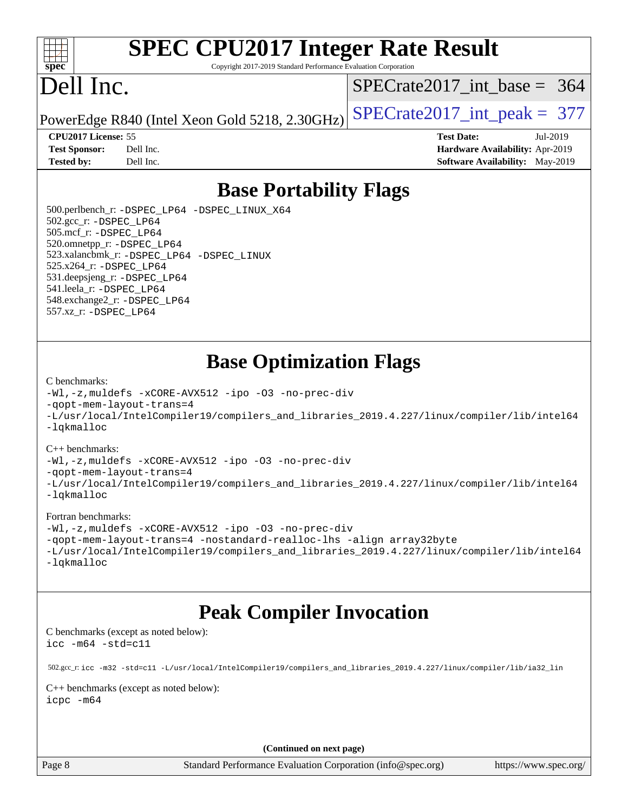

# **[SPEC CPU2017 Integer Rate Result](http://www.spec.org/auto/cpu2017/Docs/result-fields.html#SPECCPU2017IntegerRateResult)**

Copyright 2017-2019 Standard Performance Evaluation Corporation

# Dell Inc.

[SPECrate2017\\_int\\_base =](http://www.spec.org/auto/cpu2017/Docs/result-fields.html#SPECrate2017intbase) 364

PowerEdge R840 (Intel Xeon Gold 5218, 2.30GHz)  $\text{SPECrate}2017\_int\_peak = 377$ 

**[Tested by:](http://www.spec.org/auto/cpu2017/Docs/result-fields.html#Testedby)** Dell Inc. **[Software Availability:](http://www.spec.org/auto/cpu2017/Docs/result-fields.html#SoftwareAvailability)** May-2019

**[CPU2017 License:](http://www.spec.org/auto/cpu2017/Docs/result-fields.html#CPU2017License)** 55 **[Test Date:](http://www.spec.org/auto/cpu2017/Docs/result-fields.html#TestDate)** Jul-2019 **[Test Sponsor:](http://www.spec.org/auto/cpu2017/Docs/result-fields.html#TestSponsor)** Dell Inc. **[Hardware Availability:](http://www.spec.org/auto/cpu2017/Docs/result-fields.html#HardwareAvailability)** Apr-2019

### **[Base Portability Flags](http://www.spec.org/auto/cpu2017/Docs/result-fields.html#BasePortabilityFlags)**

 500.perlbench\_r: [-DSPEC\\_LP64](http://www.spec.org/cpu2017/results/res2019q3/cpu2017-20190722-16251.flags.html#b500.perlbench_r_basePORTABILITY_DSPEC_LP64) [-DSPEC\\_LINUX\\_X64](http://www.spec.org/cpu2017/results/res2019q3/cpu2017-20190722-16251.flags.html#b500.perlbench_r_baseCPORTABILITY_DSPEC_LINUX_X64) 502.gcc\_r: [-DSPEC\\_LP64](http://www.spec.org/cpu2017/results/res2019q3/cpu2017-20190722-16251.flags.html#suite_basePORTABILITY502_gcc_r_DSPEC_LP64) 505.mcf\_r: [-DSPEC\\_LP64](http://www.spec.org/cpu2017/results/res2019q3/cpu2017-20190722-16251.flags.html#suite_basePORTABILITY505_mcf_r_DSPEC_LP64) 520.omnetpp\_r: [-DSPEC\\_LP64](http://www.spec.org/cpu2017/results/res2019q3/cpu2017-20190722-16251.flags.html#suite_basePORTABILITY520_omnetpp_r_DSPEC_LP64) 523.xalancbmk\_r: [-DSPEC\\_LP64](http://www.spec.org/cpu2017/results/res2019q3/cpu2017-20190722-16251.flags.html#suite_basePORTABILITY523_xalancbmk_r_DSPEC_LP64) [-DSPEC\\_LINUX](http://www.spec.org/cpu2017/results/res2019q3/cpu2017-20190722-16251.flags.html#b523.xalancbmk_r_baseCXXPORTABILITY_DSPEC_LINUX) 525.x264\_r: [-DSPEC\\_LP64](http://www.spec.org/cpu2017/results/res2019q3/cpu2017-20190722-16251.flags.html#suite_basePORTABILITY525_x264_r_DSPEC_LP64) 531.deepsjeng\_r: [-DSPEC\\_LP64](http://www.spec.org/cpu2017/results/res2019q3/cpu2017-20190722-16251.flags.html#suite_basePORTABILITY531_deepsjeng_r_DSPEC_LP64) 541.leela\_r: [-DSPEC\\_LP64](http://www.spec.org/cpu2017/results/res2019q3/cpu2017-20190722-16251.flags.html#suite_basePORTABILITY541_leela_r_DSPEC_LP64) 548.exchange2\_r: [-DSPEC\\_LP64](http://www.spec.org/cpu2017/results/res2019q3/cpu2017-20190722-16251.flags.html#suite_basePORTABILITY548_exchange2_r_DSPEC_LP64) 557.xz\_r: [-DSPEC\\_LP64](http://www.spec.org/cpu2017/results/res2019q3/cpu2017-20190722-16251.flags.html#suite_basePORTABILITY557_xz_r_DSPEC_LP64)

### **[Base Optimization Flags](http://www.spec.org/auto/cpu2017/Docs/result-fields.html#BaseOptimizationFlags)**

#### [C benchmarks](http://www.spec.org/auto/cpu2017/Docs/result-fields.html#Cbenchmarks):

[-Wl,-z,muldefs](http://www.spec.org/cpu2017/results/res2019q3/cpu2017-20190722-16251.flags.html#user_CCbase_link_force_multiple1_b4cbdb97b34bdee9ceefcfe54f4c8ea74255f0b02a4b23e853cdb0e18eb4525ac79b5a88067c842dd0ee6996c24547a27a4b99331201badda8798ef8a743f577) [-xCORE-AVX512](http://www.spec.org/cpu2017/results/res2019q3/cpu2017-20190722-16251.flags.html#user_CCbase_f-xCORE-AVX512) [-ipo](http://www.spec.org/cpu2017/results/res2019q3/cpu2017-20190722-16251.flags.html#user_CCbase_f-ipo) [-O3](http://www.spec.org/cpu2017/results/res2019q3/cpu2017-20190722-16251.flags.html#user_CCbase_f-O3) [-no-prec-div](http://www.spec.org/cpu2017/results/res2019q3/cpu2017-20190722-16251.flags.html#user_CCbase_f-no-prec-div) [-qopt-mem-layout-trans=4](http://www.spec.org/cpu2017/results/res2019q3/cpu2017-20190722-16251.flags.html#user_CCbase_f-qopt-mem-layout-trans_fa39e755916c150a61361b7846f310bcdf6f04e385ef281cadf3647acec3f0ae266d1a1d22d972a7087a248fd4e6ca390a3634700869573d231a252c784941a8) [-L/usr/local/IntelCompiler19/compilers\\_and\\_libraries\\_2019.4.227/linux/compiler/lib/intel64](http://www.spec.org/cpu2017/results/res2019q3/cpu2017-20190722-16251.flags.html#user_CCbase_qkmalloc_link_0ffe0cb02c68ef1b443a077c7888c10c67ca0d1dd7138472156f06a085bbad385f78d49618ad55dca9db3b1608e84afc2f69b4003b1d1ca498a9fc1462ccefda) [-lqkmalloc](http://www.spec.org/cpu2017/results/res2019q3/cpu2017-20190722-16251.flags.html#user_CCbase_qkmalloc_link_lib_79a818439969f771c6bc311cfd333c00fc099dad35c030f5aab9dda831713d2015205805422f83de8875488a2991c0a156aaa600e1f9138f8fc37004abc96dc5)

#### [C++ benchmarks](http://www.spec.org/auto/cpu2017/Docs/result-fields.html#CXXbenchmarks):

[-Wl,-z,muldefs](http://www.spec.org/cpu2017/results/res2019q3/cpu2017-20190722-16251.flags.html#user_CXXbase_link_force_multiple1_b4cbdb97b34bdee9ceefcfe54f4c8ea74255f0b02a4b23e853cdb0e18eb4525ac79b5a88067c842dd0ee6996c24547a27a4b99331201badda8798ef8a743f577) [-xCORE-AVX512](http://www.spec.org/cpu2017/results/res2019q3/cpu2017-20190722-16251.flags.html#user_CXXbase_f-xCORE-AVX512) [-ipo](http://www.spec.org/cpu2017/results/res2019q3/cpu2017-20190722-16251.flags.html#user_CXXbase_f-ipo) [-O3](http://www.spec.org/cpu2017/results/res2019q3/cpu2017-20190722-16251.flags.html#user_CXXbase_f-O3) [-no-prec-div](http://www.spec.org/cpu2017/results/res2019q3/cpu2017-20190722-16251.flags.html#user_CXXbase_f-no-prec-div)

[-qopt-mem-layout-trans=4](http://www.spec.org/cpu2017/results/res2019q3/cpu2017-20190722-16251.flags.html#user_CXXbase_f-qopt-mem-layout-trans_fa39e755916c150a61361b7846f310bcdf6f04e385ef281cadf3647acec3f0ae266d1a1d22d972a7087a248fd4e6ca390a3634700869573d231a252c784941a8)

[-L/usr/local/IntelCompiler19/compilers\\_and\\_libraries\\_2019.4.227/linux/compiler/lib/intel64](http://www.spec.org/cpu2017/results/res2019q3/cpu2017-20190722-16251.flags.html#user_CXXbase_qkmalloc_link_0ffe0cb02c68ef1b443a077c7888c10c67ca0d1dd7138472156f06a085bbad385f78d49618ad55dca9db3b1608e84afc2f69b4003b1d1ca498a9fc1462ccefda) [-lqkmalloc](http://www.spec.org/cpu2017/results/res2019q3/cpu2017-20190722-16251.flags.html#user_CXXbase_qkmalloc_link_lib_79a818439969f771c6bc311cfd333c00fc099dad35c030f5aab9dda831713d2015205805422f83de8875488a2991c0a156aaa600e1f9138f8fc37004abc96dc5)

#### [Fortran benchmarks](http://www.spec.org/auto/cpu2017/Docs/result-fields.html#Fortranbenchmarks):

[-Wl,-z,muldefs](http://www.spec.org/cpu2017/results/res2019q3/cpu2017-20190722-16251.flags.html#user_FCbase_link_force_multiple1_b4cbdb97b34bdee9ceefcfe54f4c8ea74255f0b02a4b23e853cdb0e18eb4525ac79b5a88067c842dd0ee6996c24547a27a4b99331201badda8798ef8a743f577) [-xCORE-AVX512](http://www.spec.org/cpu2017/results/res2019q3/cpu2017-20190722-16251.flags.html#user_FCbase_f-xCORE-AVX512) [-ipo](http://www.spec.org/cpu2017/results/res2019q3/cpu2017-20190722-16251.flags.html#user_FCbase_f-ipo) [-O3](http://www.spec.org/cpu2017/results/res2019q3/cpu2017-20190722-16251.flags.html#user_FCbase_f-O3) [-no-prec-div](http://www.spec.org/cpu2017/results/res2019q3/cpu2017-20190722-16251.flags.html#user_FCbase_f-no-prec-div) [-qopt-mem-layout-trans=4](http://www.spec.org/cpu2017/results/res2019q3/cpu2017-20190722-16251.flags.html#user_FCbase_f-qopt-mem-layout-trans_fa39e755916c150a61361b7846f310bcdf6f04e385ef281cadf3647acec3f0ae266d1a1d22d972a7087a248fd4e6ca390a3634700869573d231a252c784941a8) [-nostandard-realloc-lhs](http://www.spec.org/cpu2017/results/res2019q3/cpu2017-20190722-16251.flags.html#user_FCbase_f_2003_std_realloc_82b4557e90729c0f113870c07e44d33d6f5a304b4f63d4c15d2d0f1fab99f5daaed73bdb9275d9ae411527f28b936061aa8b9c8f2d63842963b95c9dd6426b8a) [-align array32byte](http://www.spec.org/cpu2017/results/res2019q3/cpu2017-20190722-16251.flags.html#user_FCbase_align_array32byte_b982fe038af199962ba9a80c053b8342c548c85b40b8e86eb3cc33dee0d7986a4af373ac2d51c3f7cf710a18d62fdce2948f201cd044323541f22fc0fffc51b6) [-L/usr/local/IntelCompiler19/compilers\\_and\\_libraries\\_2019.4.227/linux/compiler/lib/intel64](http://www.spec.org/cpu2017/results/res2019q3/cpu2017-20190722-16251.flags.html#user_FCbase_qkmalloc_link_0ffe0cb02c68ef1b443a077c7888c10c67ca0d1dd7138472156f06a085bbad385f78d49618ad55dca9db3b1608e84afc2f69b4003b1d1ca498a9fc1462ccefda) [-lqkmalloc](http://www.spec.org/cpu2017/results/res2019q3/cpu2017-20190722-16251.flags.html#user_FCbase_qkmalloc_link_lib_79a818439969f771c6bc311cfd333c00fc099dad35c030f5aab9dda831713d2015205805422f83de8875488a2991c0a156aaa600e1f9138f8fc37004abc96dc5)

### **[Peak Compiler Invocation](http://www.spec.org/auto/cpu2017/Docs/result-fields.html#PeakCompilerInvocation)**

[C benchmarks \(except as noted below\)](http://www.spec.org/auto/cpu2017/Docs/result-fields.html#Cbenchmarksexceptasnotedbelow): [icc -m64 -std=c11](http://www.spec.org/cpu2017/results/res2019q3/cpu2017-20190722-16251.flags.html#user_CCpeak_intel_icc_64bit_c11_33ee0cdaae7deeeab2a9725423ba97205ce30f63b9926c2519791662299b76a0318f32ddfffdc46587804de3178b4f9328c46fa7c2b0cd779d7a61945c91cd35)

 502.gcc\_r: [icc -m32 -std=c11 -L/usr/local/IntelCompiler19/compilers\\_and\\_libraries\\_2019.4.227/linux/compiler/lib/ia32\\_lin](http://www.spec.org/cpu2017/results/res2019q3/cpu2017-20190722-16251.flags.html#user_peakCCLD502_gcc_r_intel_icc_38a193a897536fa645efb1dc6ac2bea2bddbbe56f130e144a606d1b2649003f27c79f8814020c1f9355cbbf0d7ab0d194a7a979ee1e2a95641bbb8cf571aac7b) [C++ benchmarks \(except as noted below\)](http://www.spec.org/auto/cpu2017/Docs/result-fields.html#CXXbenchmarksexceptasnotedbelow):

[icpc -m64](http://www.spec.org/cpu2017/results/res2019q3/cpu2017-20190722-16251.flags.html#user_CXXpeak_intel_icpc_64bit_4ecb2543ae3f1412ef961e0650ca070fec7b7afdcd6ed48761b84423119d1bf6bdf5cad15b44d48e7256388bc77273b966e5eb805aefd121eb22e9299b2ec9d9)

**(Continued on next page)**

Page 8 Standard Performance Evaluation Corporation [\(info@spec.org\)](mailto:info@spec.org) <https://www.spec.org/>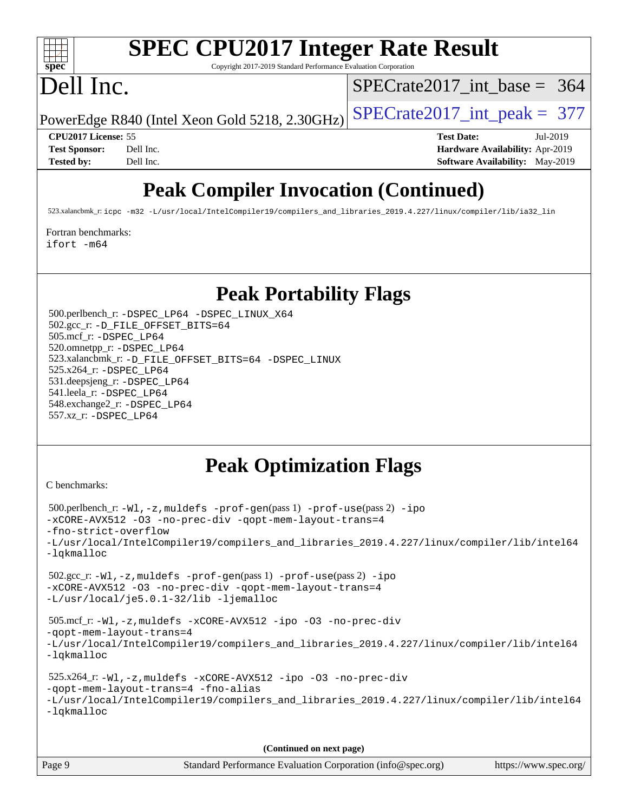

# **[SPEC CPU2017 Integer Rate Result](http://www.spec.org/auto/cpu2017/Docs/result-fields.html#SPECCPU2017IntegerRateResult)**

Copyright 2017-2019 Standard Performance Evaluation Corporation

## Dell Inc.

[SPECrate2017\\_int\\_base =](http://www.spec.org/auto/cpu2017/Docs/result-fields.html#SPECrate2017intbase) 364

PowerEdge R840 (Intel Xeon Gold 5218, 2.30GHz)  $SPECrate2017\_int\_peak = 377$ 

**[CPU2017 License:](http://www.spec.org/auto/cpu2017/Docs/result-fields.html#CPU2017License)** 55 **[Test Date:](http://www.spec.org/auto/cpu2017/Docs/result-fields.html#TestDate)** Jul-2019 **[Test Sponsor:](http://www.spec.org/auto/cpu2017/Docs/result-fields.html#TestSponsor)** Dell Inc. **[Hardware Availability:](http://www.spec.org/auto/cpu2017/Docs/result-fields.html#HardwareAvailability)** Apr-2019 **[Tested by:](http://www.spec.org/auto/cpu2017/Docs/result-fields.html#Testedby)** Dell Inc. Dell Inc. **[Software Availability:](http://www.spec.org/auto/cpu2017/Docs/result-fields.html#SoftwareAvailability)** May-2019

### **[Peak Compiler Invocation \(Continued\)](http://www.spec.org/auto/cpu2017/Docs/result-fields.html#PeakCompilerInvocation)**

523.xalancbmk\_r: [icpc -m32 -L/usr/local/IntelCompiler19/compilers\\_and\\_libraries\\_2019.4.227/linux/compiler/lib/ia32\\_lin](http://www.spec.org/cpu2017/results/res2019q3/cpu2017-20190722-16251.flags.html#user_peakCXXLD523_xalancbmk_r_intel_icpc_840f965b38320ad10acba6032d6ca4c816e722c432c250f3408feae347068ba449f694544a48cf12cd3bde3495e328e6747ab0f629c2925d3062e2ee144af951)

[Fortran benchmarks](http://www.spec.org/auto/cpu2017/Docs/result-fields.html#Fortranbenchmarks):

[ifort -m64](http://www.spec.org/cpu2017/results/res2019q3/cpu2017-20190722-16251.flags.html#user_FCpeak_intel_ifort_64bit_24f2bb282fbaeffd6157abe4f878425411749daecae9a33200eee2bee2fe76f3b89351d69a8130dd5949958ce389cf37ff59a95e7a40d588e8d3a57e0c3fd751)

### **[Peak Portability Flags](http://www.spec.org/auto/cpu2017/Docs/result-fields.html#PeakPortabilityFlags)**

 500.perlbench\_r: [-DSPEC\\_LP64](http://www.spec.org/cpu2017/results/res2019q3/cpu2017-20190722-16251.flags.html#b500.perlbench_r_peakPORTABILITY_DSPEC_LP64) [-DSPEC\\_LINUX\\_X64](http://www.spec.org/cpu2017/results/res2019q3/cpu2017-20190722-16251.flags.html#b500.perlbench_r_peakCPORTABILITY_DSPEC_LINUX_X64) 502.gcc\_r: [-D\\_FILE\\_OFFSET\\_BITS=64](http://www.spec.org/cpu2017/results/res2019q3/cpu2017-20190722-16251.flags.html#user_peakPORTABILITY502_gcc_r_file_offset_bits_64_5ae949a99b284ddf4e95728d47cb0843d81b2eb0e18bdfe74bbf0f61d0b064f4bda2f10ea5eb90e1dcab0e84dbc592acfc5018bc955c18609f94ddb8d550002c) 505.mcf\_r: [-DSPEC\\_LP64](http://www.spec.org/cpu2017/results/res2019q3/cpu2017-20190722-16251.flags.html#suite_peakPORTABILITY505_mcf_r_DSPEC_LP64) 520.omnetpp\_r: [-DSPEC\\_LP64](http://www.spec.org/cpu2017/results/res2019q3/cpu2017-20190722-16251.flags.html#suite_peakPORTABILITY520_omnetpp_r_DSPEC_LP64) 523.xalancbmk\_r: [-D\\_FILE\\_OFFSET\\_BITS=64](http://www.spec.org/cpu2017/results/res2019q3/cpu2017-20190722-16251.flags.html#user_peakPORTABILITY523_xalancbmk_r_file_offset_bits_64_5ae949a99b284ddf4e95728d47cb0843d81b2eb0e18bdfe74bbf0f61d0b064f4bda2f10ea5eb90e1dcab0e84dbc592acfc5018bc955c18609f94ddb8d550002c) [-DSPEC\\_LINUX](http://www.spec.org/cpu2017/results/res2019q3/cpu2017-20190722-16251.flags.html#b523.xalancbmk_r_peakCXXPORTABILITY_DSPEC_LINUX) 525.x264\_r: [-DSPEC\\_LP64](http://www.spec.org/cpu2017/results/res2019q3/cpu2017-20190722-16251.flags.html#suite_peakPORTABILITY525_x264_r_DSPEC_LP64) 531.deepsjeng\_r: [-DSPEC\\_LP64](http://www.spec.org/cpu2017/results/res2019q3/cpu2017-20190722-16251.flags.html#suite_peakPORTABILITY531_deepsjeng_r_DSPEC_LP64) 541.leela\_r: [-DSPEC\\_LP64](http://www.spec.org/cpu2017/results/res2019q3/cpu2017-20190722-16251.flags.html#suite_peakPORTABILITY541_leela_r_DSPEC_LP64) 548.exchange2\_r: [-DSPEC\\_LP64](http://www.spec.org/cpu2017/results/res2019q3/cpu2017-20190722-16251.flags.html#suite_peakPORTABILITY548_exchange2_r_DSPEC_LP64) 557.xz\_r: [-DSPEC\\_LP64](http://www.spec.org/cpu2017/results/res2019q3/cpu2017-20190722-16251.flags.html#suite_peakPORTABILITY557_xz_r_DSPEC_LP64)

### **[Peak Optimization Flags](http://www.spec.org/auto/cpu2017/Docs/result-fields.html#PeakOptimizationFlags)**

[C benchmarks](http://www.spec.org/auto/cpu2017/Docs/result-fields.html#Cbenchmarks):

```
 500.perlbench_r: -Wl,-z,muldefs -prof-gen(pass 1) -prof-use(pass 2) -ipo
-xCORE-AVX512 -O3 -no-prec-div -qopt-mem-layout-trans=4
-fno-strict-overflow
-L/usr/local/IntelCompiler19/compilers_and_libraries_2019.4.227/linux/compiler/lib/intel64
-lqkmalloc
 502.gcc_r: -Wl,-z,muldefs -prof-gen(pass 1) -prof-use(pass 2) -ipo
-xCORE-AVX512 -O3 -no-prec-div -qopt-mem-layout-trans=4
-L/usr/local/je5.0.1-32/lib -ljemalloc
 505.mcf_r: -Wl,-z,muldefs -xCORE-AVX512 -ipo -O3 -no-prec-div
-qopt-mem-layout-trans=4
-L/usr/local/IntelCompiler19/compilers_and_libraries_2019.4.227/linux/compiler/lib/intel64
-lqkmalloc
 525.x264_r: -Wl,-z,muldefs -xCORE-AVX512 -ipo -O3 -no-prec-div
-qopt-mem-layout-trans=4 -fno-alias
-L/usr/local/IntelCompiler19/compilers_and_libraries_2019.4.227/linux/compiler/lib/intel64
-lqkmalloc
```
**(Continued on next page)**

| Page 9 | Standard Performance Evaluation Corporation (info@spec.org) | https://www.spec.org/ |
|--------|-------------------------------------------------------------|-----------------------|
|--------|-------------------------------------------------------------|-----------------------|